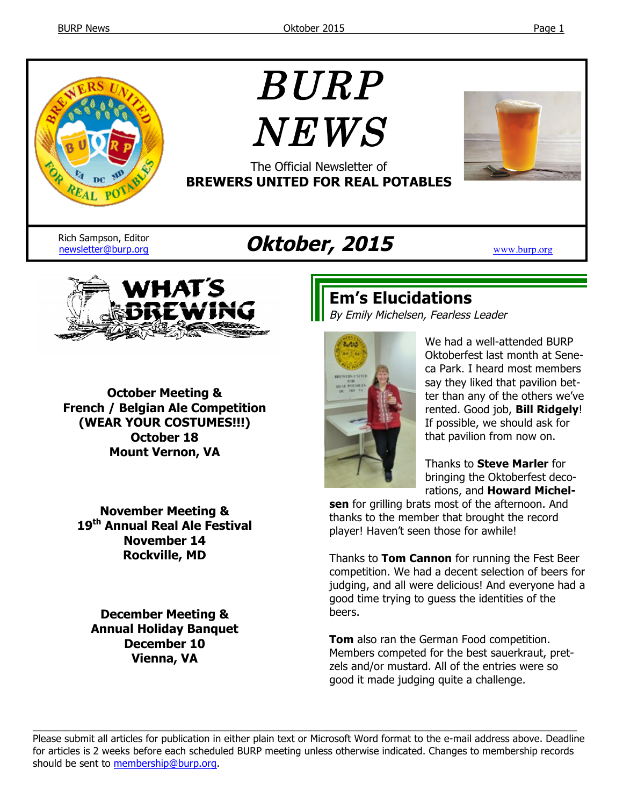

# BURP  $NEWS$



The Official Newsletter of **BREWERS UNITED FOR REAL POTABLES**

Rich Sampson, Editor

# Rich Sampson, Editor<br>
newsletter@burp.org **Oktober, 2015**



**October Meeting & French / Belgian Ale Competition (WEAR YOUR COSTUMES!!!) October 18 Mount Vernon, VA**

**November Meeting & 19th Annual Real Ale Festival November 14 Rockville, MD**

**December Meeting & Annual Holiday Banquet December 10 Vienna, VA**

# **Em's Elucidations**

By Emily Michelsen, Fearless Leader



We had a well-attended BURP Oktoberfest last month at Seneca Park. I heard most members say they liked that pavilion better than any of the others we've rented. Good job, **Bill Ridgely**! If possible, we should ask for that pavilion from now on.

Thanks to **Steve Marler** for bringing the Oktoberfest decorations, and **Howard Michel-**

**sen** for grilling brats most of the afternoon. And thanks to the member that brought the record player! Haven't seen those for awhile!

Thanks to **Tom Cannon** for running the Fest Beer competition. We had a decent selection of beers for judging, and all were delicious! And everyone had a good time trying to guess the identities of the beers.

**Tom** also ran the German Food competition. Members competed for the best sauerkraut, pretzels and/or mustard. All of the entries were so good it made judging quite a challenge.

Please submit all articles for publication in either plain text or Microsoft Word format to the e-mail address above. Deadline for articles is 2 weeks before each scheduled BURP meeting unless otherwise indicated. Changes to membership records should be sent to membership@burp.org.

 $\_$  ,  $\_$  ,  $\_$  ,  $\_$  ,  $\_$  ,  $\_$  ,  $\_$  ,  $\_$  ,  $\_$  ,  $\_$  ,  $\_$  ,  $\_$  ,  $\_$  ,  $\_$  ,  $\_$  ,  $\_$  ,  $\_$  ,  $\_$  ,  $\_$  ,  $\_$  ,  $\_$  ,  $\_$  ,  $\_$  ,  $\_$  ,  $\_$  ,  $\_$  ,  $\_$  ,  $\_$  ,  $\_$  ,  $\_$  ,  $\_$  ,  $\_$  ,  $\_$  ,  $\_$  ,  $\_$  ,  $\_$  ,  $\_$  ,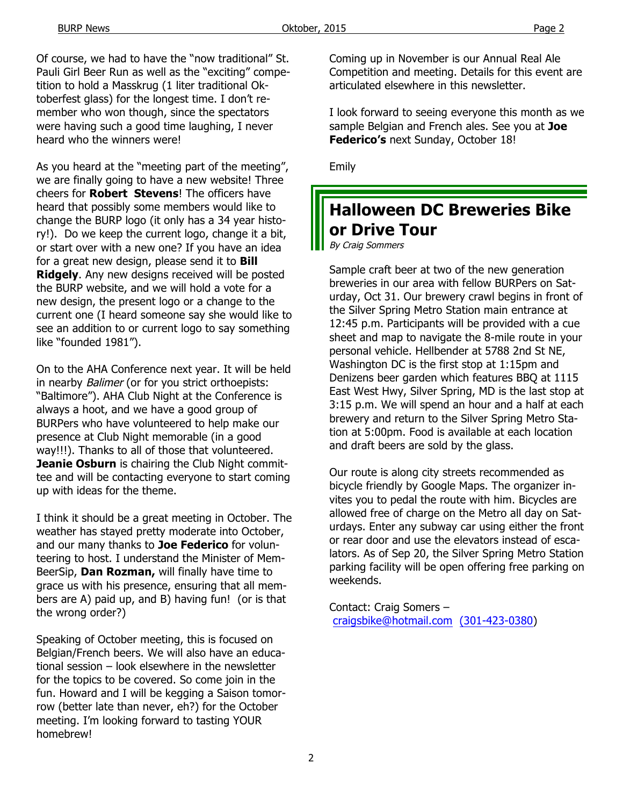Of course, we had to have the "now traditional" St. Pauli Girl Beer Run as well as the "exciting" competition to hold a Masskrug (1 liter traditional Oktoberfest glass) for the longest time. I don't remember who won though, since the spectators were having such a good time laughing, I never heard who the winners were!

As you heard at the "meeting part of the meeting", we are finally going to have a new website! Three cheers for **Robert Stevens**! The officers have heard that possibly some members would like to change the BURP logo (it only has a 34 year history!). Do we keep the current logo, change it a bit, or start over with a new one? If you have an idea for a great new design, please send it to **Bill Ridgely**. Any new designs received will be posted the BURP website, and we will hold a vote for a new design, the present logo or a change to the current one (I heard someone say she would like to see an addition to or current logo to say something like "founded 1981").

On to the AHA Conference next year. It will be held in nearby *Balimer* (or for you strict orthoepists: "Baltimore"). AHA Club Night at the Conference is always a hoot, and we have a good group of BURPers who have volunteered to help make our presence at Club Night memorable (in a good way!!!). Thanks to all of those that volunteered. **Jeanie Osburn** is chairing the Club Night committee and will be contacting everyone to start coming up with ideas for the theme.

I think it should be a great meeting in October. The weather has stayed pretty moderate into October, and our many thanks to **Joe Federico** for volunteering to host. I understand the Minister of Mem-BeerSip, **Dan Rozman,** will finally have time to grace us with his presence, ensuring that all members are A) paid up, and B) having fun! (or is that the wrong order?)

Speaking of October meeting, this is focused on Belgian/French beers. We will also have an educational session – look elsewhere in the newsletter for the topics to be covered. So come join in the fun. Howard and I will be kegging a Saison tomorrow (better late than never, eh?) for the October meeting. I'm looking forward to tasting YOUR homebrew!

Coming up in November is our Annual Real Ale Competition and meeting. Details for this event are articulated elsewhere in this newsletter.

I look forward to seeing everyone this month as we sample Belgian and French ales. See you at **Joe Federico's** next Sunday, October 18!

Emily

# **Halloween DC Breweries Bike or Drive Tour**

By Craig Sommers

Sample craft beer at two of the new generation breweries in our area with fellow BURPers on Saturday, Oct 31. Our brewery crawl begins in front of the Silver Spring Metro Station main entrance at 12:45 p.m. Participants will be provided with a cue sheet and map to navigate the 8-mile route in your personal vehicle. Hellbender at 5788 2nd St NE, Washington DC is the first stop at 1:15pm and Denizens beer garden which features BBQ at 1115 East West Hwy, Silver Spring, MD is the last stop at 3:15 p.m. We will spend an hour and a half at each brewery and return to the Silver Spring Metro Station at 5:00pm. Food is available at each location and draft beers are sold by the glass.

Our route is along city streets recommended as bicycle friendly by Google Maps. The organizer invites you to pedal the route with him. Bicycles are allowed free of charge on the Metro all day on Saturdays. Enter any subway car using either the front or rear door and use the elevators instead of escalators. As of Sep 20, the Silver Spring Metro Station parking facility will be open offering free parking on weekends.

Contact: Craig Somers – craigsbike@hotmail.com (301-423-0380)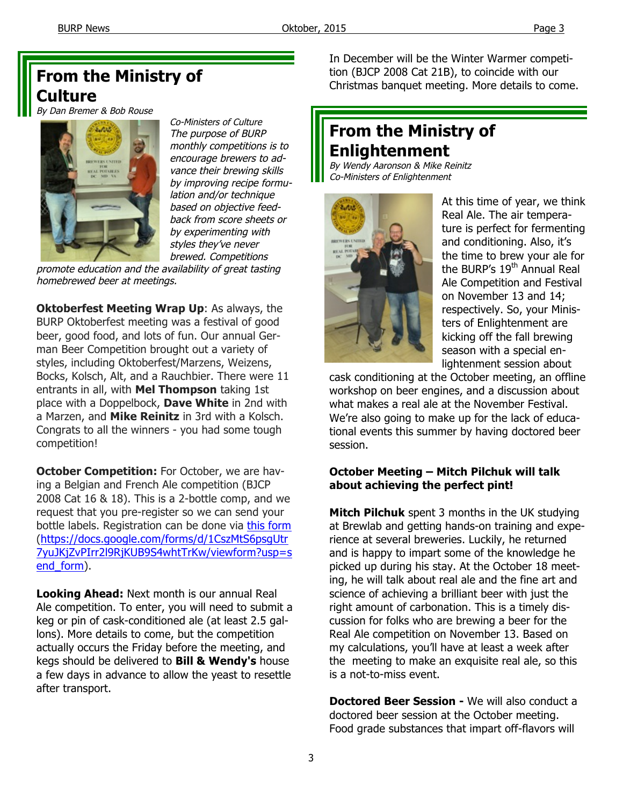### **From the Ministry of Culture**

By Dan Bremer & Bob Rouse



Co-Ministers of Culture The purpose of BURP monthly competitions is to encourage brewers to advance their brewing skills by improving recipe formulation and/or technique based on objective feedback from score sheets or by experimenting with styles they've never brewed. Competitions

promote education and the availability of great tasting homebrewed beer at meetings.

**Oktoberfest Meeting Wrap Up**: As always, the BURP Oktoberfest meeting was a festival of good beer, good food, and lots of fun. Our annual German Beer Competition brought out a variety of styles, including Oktoberfest/Marzens, Weizens, Bocks, Kolsch, Alt, and a Rauchbier. There were 11 entrants in all, with **Mel Thompson** taking 1st place with a Doppelbock, **Dave White** in 2nd with a Marzen, and **Mike Reinitz** in 3rd with a Kolsch. Congrats to all the winners - you had some tough competition!

**October Competition:** For October, we are having a Belgian and French Ale competition (BJCP 2008 Cat 16 & 18). This is a 2-bottle comp, and we request that you pre-register so we can send your bottle labels. Registration can be done via this form (https://docs.google.com/forms/d/1CszMtS6psgUtr 7yuJKjZvPIrr2l9RjKUB9S4whtTrKw/viewform?usp=s end\_form).

**Looking Ahead:** Next month is our annual Real Ale competition. To enter, you will need to submit a keg or pin of cask-conditioned ale (at least 2.5 gallons). More details to come, but the competition actually occurs the Friday before the meeting, and kegs should be delivered to **Bill & Wendy's** house a few days in advance to allow the yeast to resettle after transport.

In December will be the Winter Warmer competition (BJCP 2008 Cat 21B), to coincide with our Christmas banquet meeting. More details to come.

# **From the Ministry of Enlightenment**

By Wendy Aaronson & Mike Reinitz Co-Ministers of Enlightenment



At this time of year, we think Real Ale. The air temperature is perfect for fermenting and conditioning. Also, it's the time to brew your ale for the BURP's 19<sup>th</sup> Annual Real Ale Competition and Festival on November 13 and 14; respectively. So, your Ministers of Enlightenment are kicking off the fall brewing season with a special enlightenment session about

cask conditioning at the October meeting, an offline workshop on beer engines, and a discussion about what makes a real ale at the November Festival. We're also going to make up for the lack of educational events this summer by having doctored beer session.

#### **October Meeting – Mitch Pilchuk will talk about achieving the perfect pint!**

**Mitch Pilchuk** spent 3 months in the UK studying at Brewlab and getting hands-on training and experience at several breweries. Luckily, he returned and is happy to impart some of the knowledge he picked up during his stay. At the October 18 meeting, he will talk about real ale and the fine art and science of achieving a brilliant beer with just the right amount of carbonation. This is a timely discussion for folks who are brewing a beer for the Real Ale competition on November 13. Based on my calculations, you'll have at least a week after the meeting to make an exquisite real ale, so this is a not-to-miss event.

**Doctored Beer Session -** We will also conduct a doctored beer session at the October meeting. Food grade substances that impart off-flavors will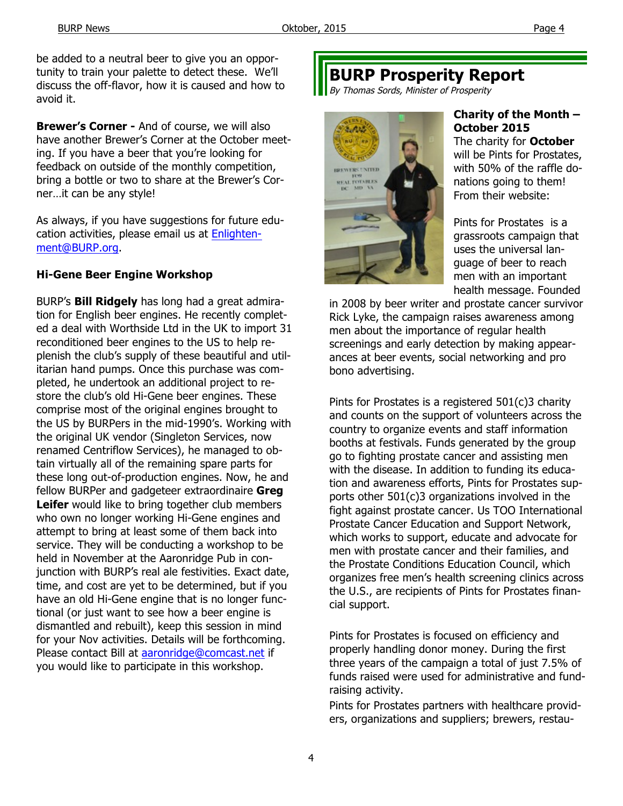be added to a neutral beer to give you an opportunity to train your palette to detect these. We'll discuss the off-flavor, how it is caused and how to avoid it.

**Brewer's Corner -** And of course, we will also have another Brewer's Corner at the October meeting. If you have a beer that you're looking for feedback on outside of the monthly competition, bring a bottle or two to share at the Brewer's Corner…it can be any style!

As always, if you have suggestions for future education activities, please email us at Enlightenment@BURP.org.

#### **Hi-Gene Beer Engine Workshop**

BURP's **Bill Ridgely** has long had a great admiration for English beer engines. He recently completed a deal with Worthside Ltd in the UK to import 31 reconditioned beer engines to the US to help replenish the club's supply of these beautiful and utilitarian hand pumps. Once this purchase was completed, he undertook an additional project to restore the club's old Hi-Gene beer engines. These comprise most of the original engines brought to the US by BURPers in the mid-1990's. Working with the original UK vendor (Singleton Services, now renamed Centriflow Services), he managed to obtain virtually all of the remaining spare parts for these long out-of-production engines. Now, he and fellow BURPer and gadgeteer extraordinaire **Greg Leifer** would like to bring together club members who own no longer working Hi-Gene engines and attempt to bring at least some of them back into service. They will be conducting a workshop to be held in November at the Aaronridge Pub in conjunction with BURP's real ale festivities. Exact date, time, and cost are yet to be determined, but if you have an old Hi-Gene engine that is no longer functional (or just want to see how a beer engine is dismantled and rebuilt), keep this session in mind for your Nov activities. Details will be forthcoming. Please contact Bill at aaronridge@comcast.net if you would like to participate in this workshop.

# **BURP Prosperity Report**

By Thomas Sords, Minister of Prosperity



#### **Charity of the Month – October 2015**

The charity for **October** will be Pints for Prostates, with 50% of the raffle donations going to them! From their website:

Pints for Prostates is a grassroots campaign that uses the universal language of beer to reach men with an important health message. Founded

in 2008 by beer writer and prostate cancer survivor Rick Lyke, the campaign raises awareness among men about the importance of regular health screenings and early detection by making appearances at beer events, social networking and pro bono advertising.

Pints for Prostates is a registered 501(c)3 charity and counts on the support of volunteers across the country to organize events and staff information booths at festivals. Funds generated by the group go to fighting prostate cancer and assisting men with the disease. In addition to funding its education and awareness efforts, Pints for Prostates supports other 501(c)3 organizations involved in the fight against prostate cancer. Us TOO International Prostate Cancer Education and Support Network, which works to support, educate and advocate for men with prostate cancer and their families, and the Prostate Conditions Education Council, which organizes free men's health screening clinics across the U.S., are recipients of Pints for Prostates financial support.

Pints for Prostates is focused on efficiency and properly handling donor money. During the first three years of the campaign a total of just 7.5% of funds raised were used for administrative and fundraising activity.

Pints for Prostates partners with healthcare providers, organizations and suppliers; brewers, restau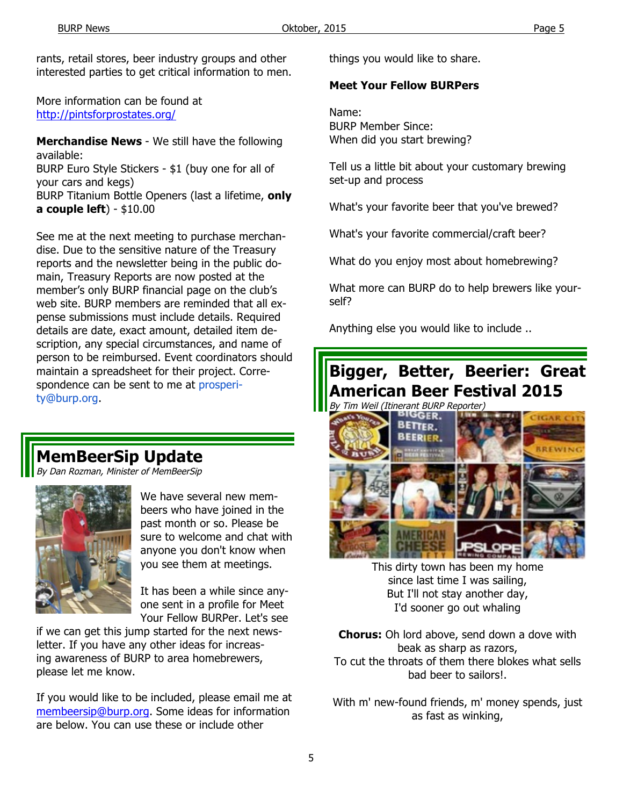rants, retail stores, beer industry groups and other interested parties to get critical information to men.

More information can be found at http://pintsforprostates.org/

**Merchandise News** - We still have the following available:

BURP Euro Style Stickers - \$1 (buy one for all of your cars and kegs)

BURP Titanium Bottle Openers (last a lifetime, **only a couple left**) - \$10.00

See me at the next meeting to purchase merchandise. Due to the sensitive nature of the Treasury reports and the newsletter being in the public domain, Treasury Reports are now posted at the member's only BURP financial page on the club's web site. BURP members are reminded that all expense submissions must include details. Required details are date, exact amount, detailed item description, any special circumstances, and name of person to be reimbursed. Event coordinators should maintain a spreadsheet for their project. Correspondence can be sent to me at prosperity@burp.org.

# **MemBeerSip Update**

/ Dan Rozman, Minister of MemBeerSip



We have several new membeers who have joined in the past month or so. Please be sure to welcome and chat with anyone you don't know when you see them at meetings.

It has been a while since anyone sent in a profile for Meet Your Fellow BURPer. Let's see

if we can get this jump started for the next newsletter. If you have any other ideas for increasing awareness of BURP to area homebrewers, please let me know.

If you would like to be included, please email me at membeersip@burp.org. Some ideas for information are below. You can use these or include other

things you would like to share.

#### **Meet Your Fellow BURPers**

Name: BURP Member Since: When did you start brewing?

Tell us a little bit about your customary brewing set-up and process

What's your favorite beer that you've brewed?

What's your favorite commercial/craft beer?

What do you enjoy most about homebrewing?

What more can BURP do to help brewers like yourself?

Anything else you would like to include ..

#### **Bigger, Better, Beerier: Great American Beer Festival 2015 Tim Weil (Itinerant BURP Reporter)**



This dirty town has been my home since last time I was sailing, But I'll not stay another day, I'd sooner go out whaling

**Chorus:** Oh lord above, send down a dove with beak as sharp as razors, To cut the throats of them there blokes what sells bad beer to sailors!.

With m' new-found friends, m' money spends, just as fast as winking,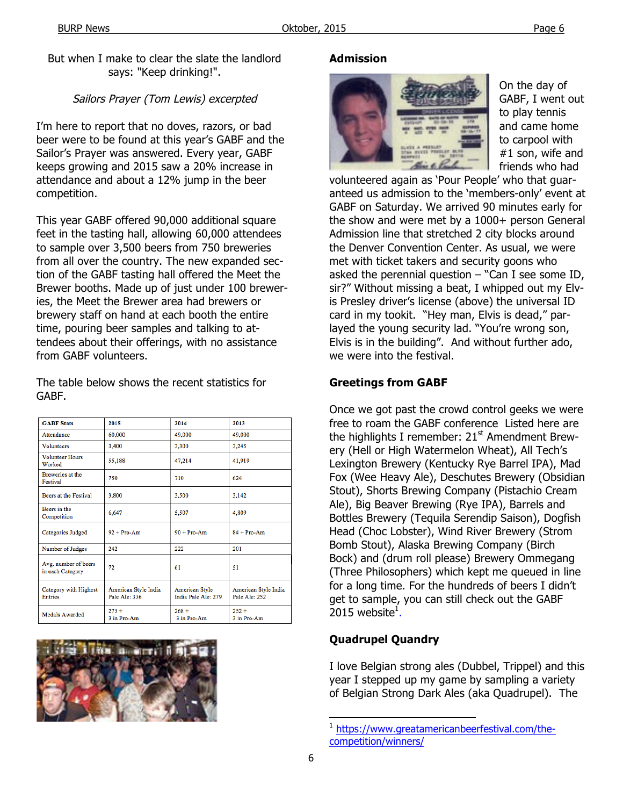But when I make to clear the slate the landlord says: "Keep drinking!".

#### Sailors Prayer (Tom Lewis) excerpted

I'm here to report that no doves, razors, or bad beer were to be found at this year's GABF and the Sailor's Prayer was answered. Every year, GABF keeps growing and 2015 saw a 20% increase in attendance and about a 12% jump in the beer competition.

This year GABF offered 90,000 additional square feet in the tasting hall, allowing 60,000 attendees to sample over 3,500 beers from 750 breweries from all over the country. The new expanded section of the GABF tasting hall offered the Meet the Brewer booths. Made up of just under 100 breweries, the Meet the Brewer area had brewers or brewery staff on hand at each booth the entire time, pouring beer samples and talking to attendees about their offerings, with no assistance from GABF volunteers.

The table below shows the recent statistics for GABF.

| <b>GABF</b> Stats                        | 2015                                  | 2014                                         | 2013                                  |
|------------------------------------------|---------------------------------------|----------------------------------------------|---------------------------------------|
| Attendance                               | 60,000                                | 49,000                                       | 49,000                                |
| <b>Volunteers</b>                        | 3,400                                 | 3,300                                        | 3,245                                 |
| <b>Volunteer Hours</b><br>Worked         | 55,188                                | 47,214                                       | 41.919                                |
| <b>Breweries at the</b><br>Festival      | 750                                   | 710                                          | 624                                   |
| Beers at the Festival                    | 3,800                                 | 3,500                                        | 3,142                                 |
| Beers in the<br>Competition              | 6.647                                 | 5.507                                        | 4.809                                 |
| <b>Categories Judged</b>                 | $92 + Pro-Am$                         | $90 + Pro-Am$                                | $84 + Pro-Am$                         |
| Number of Judges                         | 242                                   | 222                                          | 201                                   |
| Avg. number of beers<br>in each Category | 72                                    | 61                                           | 51                                    |
| Category with Highest<br><b>Entries</b>  | American Style India<br>Pale Ale: 336 | <b>American Style</b><br>India Pale Ale: 279 | American Style India<br>Pale Ale: 252 |
| Medals Awarded                           | $275 +$<br>3 in Pro-Am                | $268 +$<br>3 in Pro-Am                       | $252 +$<br>3 in Pro-Am                |



#### **Admission**



On the day of GABF, I went out to play tennis and came home to carpool with #1 son, wife and friends who had

volunteered again as 'Pour People' who that guaranteed us admission to the 'members-only' event at GABF on Saturday. We arrived 90 minutes early for the show and were met by a 1000+ person General Admission line that stretched 2 city blocks around the Denver Convention Center. As usual, we were met with ticket takers and security goons who asked the perennial question  $-$  "Can I see some ID, sir?" Without missing a beat, I whipped out my Elvis Presley driver's license (above) the universal ID card in my tookit. "Hey man, Elvis is dead," parlayed the young security lad. "You're wrong son, Elvis is in the building". And without further ado, we were into the festival.

#### **Greetings from GABF**

Once we got past the crowd control geeks we were free to roam the GABF conference Listed here are the highlights I remember:  $21<sup>st</sup>$  Amendment Brewery (Hell or High Watermelon Wheat), All Tech's Lexington Brewery (Kentucky Rye Barrel IPA), Mad Fox (Wee Heavy Ale), Deschutes Brewery (Obsidian Stout), Shorts Brewing Company (Pistachio Cream Ale), Big Beaver Brewing (Rye IPA), Barrels and Bottles Brewery (Tequila Serendip Saison), Dogfish Head (Choc Lobster), Wind River Brewery (Strom Bomb Stout), Alaska Brewing Company (Birch Bock) and (drum roll please) Brewery Ommegang (Three Philosophers) which kept me queued in line for a long time. For the hundreds of beers I didn't get to sample, you can still check out the GABF 2015 website $^1$ .

#### **Quadrupel Quandry**

I love Belgian strong ales (Dubbel, Trippel) and this year I stepped up my game by sampling a variety of Belgian Strong Dark Ales (aka Quadrupel). The

https://www.greatamericanbeerfestival.com/thecompetition/winners/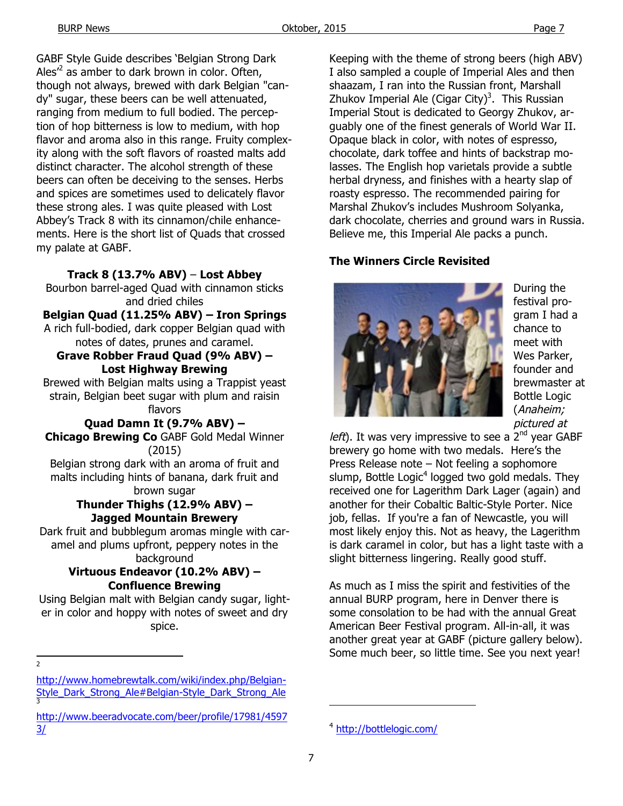GABF Style Guide describes 'Belgian Strong Dark Ales<sup> $2$ </sup> as amber to dark brown in color. Often, though not always, brewed with dark Belgian "candy" sugar, these beers can be well attenuated, ranging from medium to full bodied. The perception of hop bitterness is low to medium, with hop flavor and aroma also in this range. Fruity complexity along with the soft flavors of roasted malts add distinct character. The alcohol strength of these beers can often be deceiving to the senses. Herbs and spices are sometimes used to delicately flavor these strong ales. I was quite pleased with Lost Abbey's Track 8 with its cinnamon/chile enhancements. Here is the short list of Quads that crossed my palate at GABF.

#### **Track 8 (13.7% ABV)** – **Lost Abbey**

Bourbon barrel-aged Quad with cinnamon sticks and dried chiles

#### **Belgian Quad (11.25% ABV) – Iron Springs**

A rich full-bodied, dark copper Belgian quad with notes of dates, prunes and caramel.

#### **Grave Robber Fraud Quad (9% ABV) – Lost Highway Brewing**

Brewed with Belgian malts using a Trappist yeast strain, Belgian beet sugar with plum and raisin flavors

**Quad Damn It (9.7% ABV) – Chicago Brewing Co** GABF Gold Medal Winner (2015)

Belgian strong dark with an aroma of fruit and malts including hints of banana, dark fruit and brown sugar

#### **Thunder Thighs (12.9% ABV) – Jagged Mountain Brewery**

Dark fruit and bubblegum aromas mingle with caramel and plums upfront, peppery notes in the background

#### **Virtuous Endeavor (10.2% ABV) – Confluence Brewing**

Using Belgian malt with Belgian candy sugar, lighter in color and hoppy with notes of sweet and dry spice.

 $\overline{2}$ 

Keeping with the theme of strong beers (high ABV) I also sampled a couple of Imperial Ales and then shaazam, I ran into the Russian front, Marshall Zhukov Imperial Ale (Cigar City)<sup>3</sup>. This Russian Imperial Stout is dedicated to Georgy Zhukov, arguably one of the finest generals of World War II. Opaque black in color, with notes of espresso, chocolate, dark toffee and hints of backstrap molasses. The English hop varietals provide a subtle herbal dryness, and finishes with a hearty slap of roasty espresso. The recommended pairing for Marshal Zhukov's includes Mushroom Solyanka, dark chocolate, cherries and ground wars in Russia. Believe me, this Imperial Ale packs a punch.

#### **The Winners Circle Revisited**



During the festival program I had a chance to meet with Wes Parker, founder and brewmaster at Bottle Logic (Anaheim; pictured at

*left*). It was very impressive to see a  $2^{nd}$  year GABF brewery go home with two medals. Here's the Press Release note – Not feeling a sophomore slump, Bottle Logic<sup>4</sup> logged two gold medals. They received one for Lagerithm Dark Lager (again) and another for their Cobaltic Baltic-Style Porter. Nice job, fellas. If you're a fan of Newcastle, you will most likely enjoy this. Not as heavy, the Lagerithm is dark caramel in color, but has a light taste with a slight bitterness lingering. Really good stuff.

As much as I miss the spirit and festivities of the annual BURP program, here in Denver there is some consolation to be had with the annual Great American Beer Festival program. All-in-all, it was another great year at GABF (picture gallery below). Some much beer, so little time. See you next year!

-

http://www.homebrewtalk.com/wiki/index.php/Belgian-Style\_Dark\_Strong\_Ale#Belgian-Style\_Dark\_Strong\_Ale 3

http://www.beeradvocate.com/beer/profile/17981/4597 3/

<sup>4</sup> http://bottlelogic.com/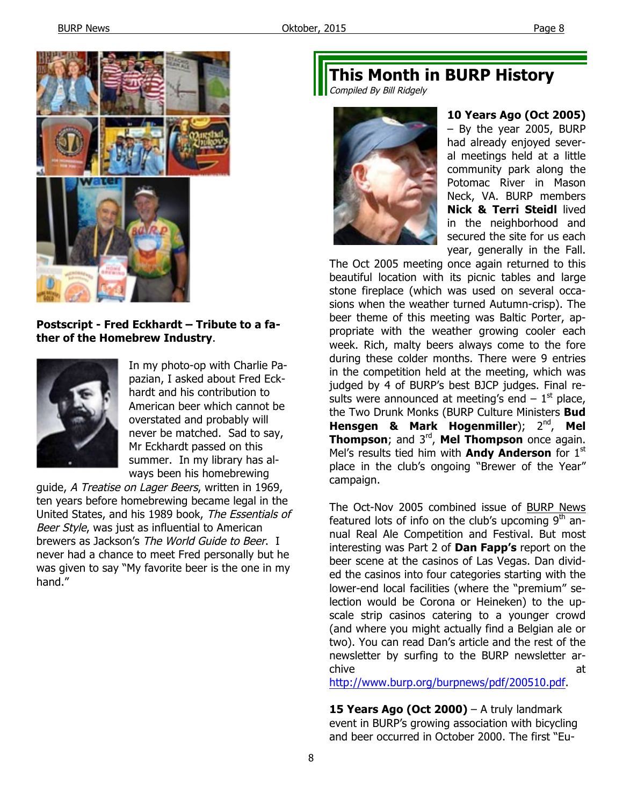

#### **Postscript - Fred Eckhardt – Tribute to a father of the Homebrew Industry**.



In my photo-op with Charlie Papazian, I asked about Fred Eckhardt and his contribution to American beer which cannot be overstated and probably will never be matched. Sad to say, Mr Eckhardt passed on this summer. In my library has always been his homebrewing

guide, A Treatise on Lager Beers, written in 1969, ten years before homebrewing became legal in the United States, and his 1989 book, The Essentials of Beer Style, was just as influential to American brewers as Jackson's The World Guide to Beer. I never had a chance to meet Fred personally but he was given to say "My favorite beer is the one in my hand."

# **This Month in BURP History**

Compiled By Bill Ridgely



**10 Years Ago (Oct 2005)**  – By the year 2005, BURP had already enjoyed several meetings held at a little community park along the Potomac River in Mason Neck, VA. BURP members **Nick & Terri Steidl** lived in the neighborhood and secured the site for us each year, generally in the Fall.

The Oct 2005 meeting once again returned to this beautiful location with its picnic tables and large stone fireplace (which was used on several occasions when the weather turned Autumn-crisp). The beer theme of this meeting was Baltic Porter, appropriate with the weather growing cooler each week. Rich, malty beers always come to the fore during these colder months. There were 9 entries in the competition held at the meeting, which was judged by 4 of BURP's best BJCP judges. Final results were announced at meeting's end  $-1<sup>st</sup>$  place, the Two Drunk Monks (BURP Culture Ministers **Bud**  Hensgen & Mark Hogenmiller); 2<sup>nd</sup>, Mel **Thompson**; and 3rd, **Mel Thompson** once again. Mel's results tied him with **Andy Anderson** for 1<sup>st</sup> place in the club's ongoing "Brewer of the Year" campaign.

The Oct-Nov 2005 combined issue of BURP News featured lots of info on the club's upcoming  $9<sup>th</sup>$  annual Real Ale Competition and Festival. But most interesting was Part 2 of **Dan Fapp's** report on the beer scene at the casinos of Las Vegas. Dan divided the casinos into four categories starting with the lower-end local facilities (where the "premium" selection would be Corona or Heineken) to the upscale strip casinos catering to a younger crowd (and where you might actually find a Belgian ale or two). You can read Dan's article and the rest of the newsletter by surfing to the BURP newsletter archive and a state of the state of the state and a state of the state and a state of the state and a state of the

http://www.burp.org/burpnews/pdf/200510.pdf.

**15 Years Ago (Oct 2000)** – A truly landmark event in BURP's growing association with bicycling and beer occurred in October 2000. The first "Eu-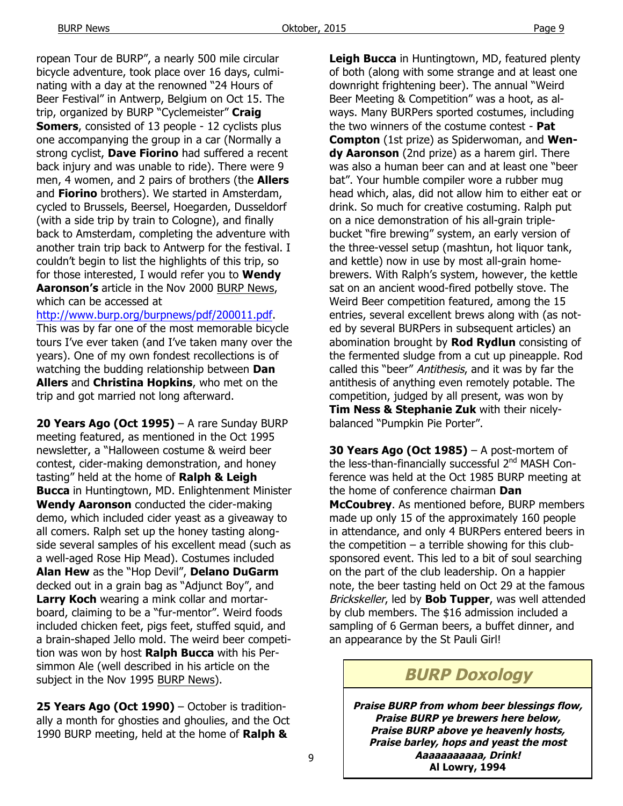ropean Tour de BURP", a nearly 500 mile circular bicycle adventure, took place over 16 days, culminating with a day at the renowned "24 Hours of Beer Festival" in Antwerp, Belgium on Oct 15. The trip, organized by BURP "Cyclemeister" **Craig Somers**, consisted of 13 people - 12 cyclists plus one accompanying the group in a car (Normally a strong cyclist, **Dave Fiorino** had suffered a recent back injury and was unable to ride). There were 9 men, 4 women, and 2 pairs of brothers (the **Allers**  and **Fiorino** brothers). We started in Amsterdam, cycled to Brussels, Beersel, Hoegarden, Dusseldorf (with a side trip by train to Cologne), and finally back to Amsterdam, completing the adventure with another train trip back to Antwerp for the festival. I couldn't begin to list the highlights of this trip, so for those interested, I would refer you to **Wendy Aaronson's** article in the Nov 2000 BURP News, which can be accessed at

http://www.burp.org/burpnews/pdf/200011.pdf.

This was by far one of the most memorable bicycle tours I've ever taken (and I've taken many over the years). One of my own fondest recollections is of watching the budding relationship between **Dan Allers** and **Christina Hopkins**, who met on the trip and got married not long afterward.

**20 Years Ago (Oct 1995)** – A rare Sunday BURP meeting featured, as mentioned in the Oct 1995 newsletter, a "Halloween costume & weird beer contest, cider-making demonstration, and honey tasting" held at the home of **Ralph & Leigh Bucca** in Huntingtown, MD. Enlightenment Minister **Wendy Aaronson** conducted the cider-making demo, which included cider yeast as a giveaway to all comers. Ralph set up the honey tasting alongside several samples of his excellent mead (such as a well-aged Rose Hip Mead). Costumes included **Alan Hew** as the "Hop Devil", **Delano DuGarm**  decked out in a grain bag as "Adjunct Boy", and **Larry Koch** wearing a mink collar and mortarboard, claiming to be a "fur-mentor". Weird foods included chicken feet, pigs feet, stuffed squid, and a brain-shaped Jello mold. The weird beer competition was won by host **Ralph Bucca** with his Persimmon Ale (well described in his article on the subject in the Nov 1995 BURP News).

**25 Years Ago (Oct 1990)** – October is traditionally a month for ghosties and ghoulies, and the Oct 1990 BURP meeting, held at the home of **Ralph &** 

**Leigh Bucca** in Huntingtown, MD, featured plenty of both (along with some strange and at least one downright frightening beer). The annual "Weird Beer Meeting & Competition" was a hoot, as always. Many BURPers sported costumes, including the two winners of the costume contest - **Pat Compton** (1st prize) as Spiderwoman, and **Wendy Aaronson** (2nd prize) as a harem girl. There was also a human beer can and at least one "beer bat". Your humble compiler wore a rubber mug head which, alas, did not allow him to either eat or drink. So much for creative costuming. Ralph put on a nice demonstration of his all-grain triplebucket "fire brewing" system, an early version of the three-vessel setup (mashtun, hot liquor tank, and kettle) now in use by most all-grain homebrewers. With Ralph's system, however, the kettle sat on an ancient wood-fired potbelly stove. The Weird Beer competition featured, among the 15 entries, several excellent brews along with (as noted by several BURPers in subsequent articles) an abomination brought by **Rod Rydlun** consisting of the fermented sludge from a cut up pineapple. Rod called this "beer" Antithesis, and it was by far the antithesis of anything even remotely potable. The competition, judged by all present, was won by **Tim Ness & Stephanie Zuk** with their nicelybalanced "Pumpkin Pie Porter".

**30 Years Ago (Oct 1985)** – A post-mortem of the less-than-financially successful 2<sup>nd</sup> MASH Conference was held at the Oct 1985 BURP meeting at the home of conference chairman **Dan McCoubrey**. As mentioned before, BURP members made up only 15 of the approximately 160 people in attendance, and only 4 BURPers entered beers in the competition  $-$  a terrible showing for this clubsponsored event. This led to a bit of soul searching on the part of the club leadership. On a happier note, the beer tasting held on Oct 29 at the famous Brickskeller, led by **Bob Tupper**, was well attended by club members. The \$16 admission included a sampling of 6 German beers, a buffet dinner, and an appearance by the St Pauli Girl!

## **BURP Doxology**

**Praise BURP from whom beer blessings flow, Praise BURP ye brewers here below, Praise BURP above ye heavenly hosts, Praise barley, hops and yeast the most Aaaaaaaaaaa, Drink! Al Lowry, 1994**